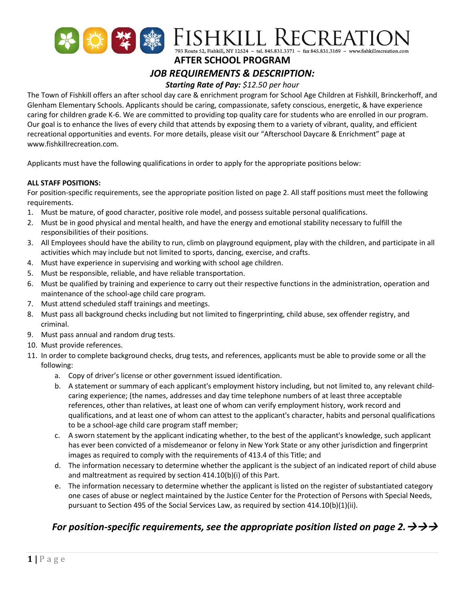

**AFTER SCHOOL PROGRAM**

# *JOB REQUIREMENTS & DESCRIPTION:*

#### *Starting Rate of Pay: \$12.50 per hour*

The Town of Fishkill offers an after school day care & enrichment program for School Age Children at Fishkill, Brinckerhoff, and Glenham Elementary Schools. Applicants should be caring, compassionate, safety conscious, energetic, & have experience caring for children grade K-6. We are committed to providing top quality care for students who are enrolled in our program. Our goal is to enhance the lives of every child that attends by exposing them to a variety of vibrant, quality, and efficient recreational opportunities and events. For more details, please visit our "Afterschool Daycare & Enrichment" page at www.fishkillrecreation.com.

Applicants must have the following qualifications in order to apply for the appropriate positions below:

### **ALL STAFF POSITIONS:**

For position-specific requirements, see the appropriate position listed on page 2. All staff positions must meet the following requirements.

- 1. Must be mature, of good character, positive role model, and possess suitable personal qualifications.
- 2. Must be in good physical and mental health, and have the energy and emotional stability necessary to fulfill the responsibilities of their positions.
- 3. All Employees should have the ability to run, climb on playground equipment, play with the children, and participate in all activities which may include but not limited to sports, dancing, exercise, and crafts.
- 4. Must have experience in supervising and working with school age children.
- 5. Must be responsible, reliable, and have reliable transportation.
- 6. Must be qualified by training and experience to carry out their respective functions in the administration, operation and maintenance of the school-age child care program.
- 7. Must attend scheduled staff trainings and meetings.
- 8. Must pass all background checks including but not limited to fingerprinting, child abuse, sex offender registry, and criminal.
- 9. Must pass annual and random drug tests.
- 10. Must provide references.
- 11. In order to complete background checks, drug tests, and references, applicants must be able to provide some or all the following:
	- a. Copy of driver's license or other government issued identification.
	- b. A statement or summary of each applicant's employment history including, but not limited to, any relevant childcaring experience; (the names, addresses and day time telephone numbers of at least three acceptable references, other than relatives, at least one of whom can verify employment history, work record and qualifications, and at least one of whom can attest to the applicant's character, habits and personal qualifications to be a school-age child care program staff member;
	- c. A sworn statement by the applicant indicating whether, to the best of the applicant's knowledge, such applicant has ever been convicted of a misdemeanor or felony in New York State or any other jurisdiction and fingerprint images as required to comply with the requirements of 413.4 of this Title; and
	- d. The information necessary to determine whether the applicant is the subject of an indicated report of child abuse and maltreatment as required by section 414.10(b)(i) of this Part.
	- e. The information necessary to determine whether the applicant is listed on the register of substantiated category one cases of abuse or neglect maintained by the Justice Center for the Protection of Persons with Special Needs, pursuant to Section 495 of the Social Services Law, as required by section 414.10(b)(1)(ii).

## *For position-specific requirements, see the appropriate position listed on page 2.*  $\rightarrow$   $\rightarrow$